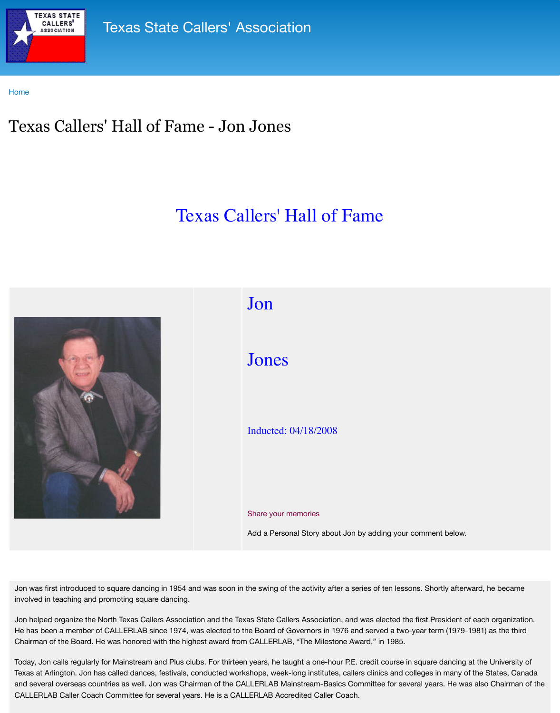



## Inducted: 04/18/2008

## Share your memories

Add a Personal Story about Jon

Jon was first introduced to square dancing in 1954 and was soon in the swing of the activity after a series of involved in teaching and promoting square dancing.

Jon helped organize the North Texas Callers Association and the Texas State Callers Association, and He has been a member of CALLERLAB since 1974, was elected to the Board of Governors in 1976 and Hereuge and served a two-year term (1976) as the third mass here that the third and the third term (1976) as the third that th Chairman of the Board. He was honored with the highest award from CALLERLAB, "The Milestone Av

Today, Jon calls regularly for Mainstream and Plus clubs. For thirteen years, he taught a one-hour P.E. Texas at Arlington. Jon has called dances, festivals, conducted workshops, week-long institutes, calle and several overseas countries as well. Jon was Chairman of the CALLERLAB Mainstream-Basics Company CALLERLAB Caller Coach Committee for several years. He is a CALLERLAB Accredited Caller Coach.